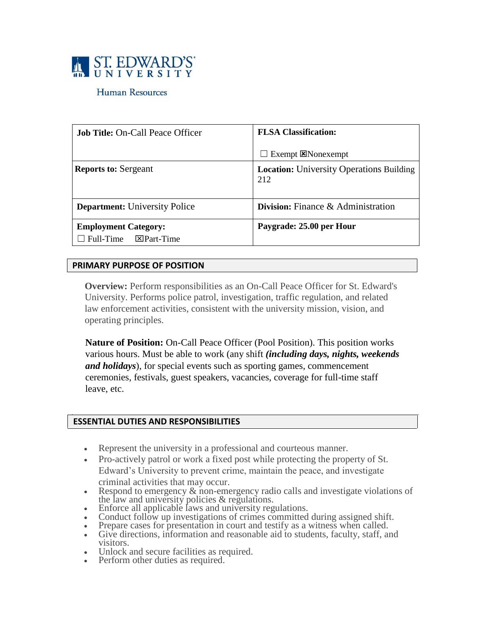

## Human Resources

| <b>Job Title: On-Call Peace Officer</b>                                       | <b>FLSA Classification:</b><br>$\Box$ Exempt $\boxtimes$ Nonexempt |
|-------------------------------------------------------------------------------|--------------------------------------------------------------------|
| <b>Reports to: Sergeant</b>                                                   | <b>Location:</b> University Operations Building<br>212             |
| <b>Department:</b> University Police                                          | <b>Division:</b> Finance $\&$ Administration                       |
| <b>Employment Category:</b><br>$\boxtimes$ Part-Time<br>$\sqsupset$ Full-Time | Paygrade: 25.00 per Hour                                           |

# **PRIMARY PURPOSE OF POSITION**

**Overview:** Perform responsibilities as an On-Call Peace Officer for St. Edward's University. Performs police patrol, investigation, traffic regulation, and related law enforcement activities, consistent with the university mission, vision, and operating principles.

**Nature of Position:** On-Call Peace Officer (Pool Position). This position works various hours. Must be able to work (any shift *(including days, nights, weekends and holidays*), for special events such as sporting games, commencement ceremonies, festivals, guest speakers, vacancies, coverage for full-time staff leave, etc.

#### **ESSENTIAL DUTIES AND RESPONSIBILITIES**

- Represent the university in a professional and courteous manner.
- Pro-actively patrol or work a fixed post while protecting the property of St. Edward's University to prevent crime, maintain the peace, and investigate criminal activities that may occur.
- Respond to emergency  $\&$  non-emergency radio calls and investigate violations of the law and university policies & regulations.
- Enforce all applicable laws and university regulations.
- Conduct follow up investigations of crimes committed during assigned shift.
- Prepare cases for presentation in court and testify as a witness when called.
- Give directions, information and reasonable aid to students, faculty, staff, and visitors.
- Unlock and secure facilities as required.
- Perform other duties as required.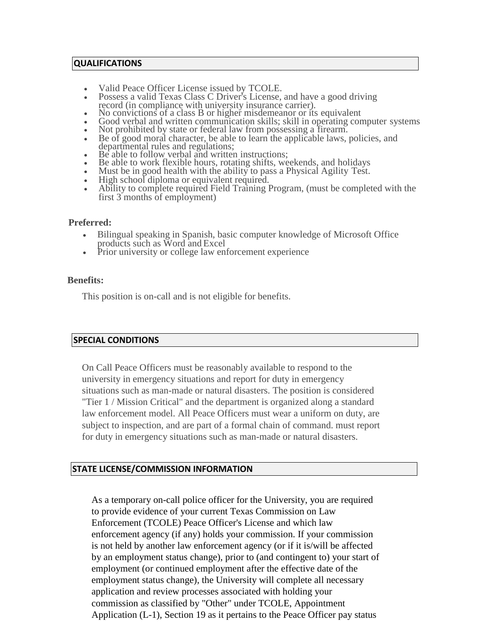#### **QUALIFICATIONS**

- Valid Peace Officer License issued by TCOLE.
- Possess a valid Texas Class C Driver's License, and have a good driving record (in compliance with university insurance carrier).
- No convictions of a class B or higher misdemeanor or its equivalent
- Good verbal and written communication skills; skill in operating computer systems
- Not prohibited by state or federal law from possessing a firearm.
- Be of good moral character, be able to learn the applicable laws, policies, and departmental rules and regulations;
- Be able to follow verbal and written instructions;
- Be able to work flexible hours, rotating shifts, weekends, and holidays
- Must be in good health with the ability to pass a Physical Agility Test.
- High school diploma or equivalent required.
- Ability to complete required Field Training Program, (must be completed with the first 3 months of employment)

## **Preferred:**

- Bilingual speaking in Spanish, basic computer knowledge of Microsoft Office products such as Word and Excel
- Prior university or college law enforcement experience

## **Benefits:**

This position is on-call and is not eligible for benefits.

# **SPECIAL CONDITIONS**

On Call Peace Officers must be reasonably available to respond to the university in emergency situations and report for duty in emergency situations such as man-made or natural disasters. The position is considered "Tier 1 / Mission Critical" and the department is organized along a standard law enforcement model. All Peace Officers must wear a uniform on duty, are subject to inspection, and are part of a formal chain of command. must report for duty in emergency situations such as man-made or natural disasters.

#### **STATE LICENSE/COMMISSION INFORMATION**

As a temporary on-call police officer for the University, you are required to provide evidence of your current Texas Commission on Law Enforcement (TCOLE) Peace Officer's License and which law enforcement agency (if any) holds your commission. If your commission is not held by another law enforcement agency (or if it is/will be affected by an employment status change), prior to (and contingent to) your start of employment (or continued employment after the effective date of the employment status change), the University will complete all necessary application and review processes associated with holding your commission as classified by "Other" under TCOLE, Appointment Application (L-1), Section 19 as it pertains to the Peace Officer pay status